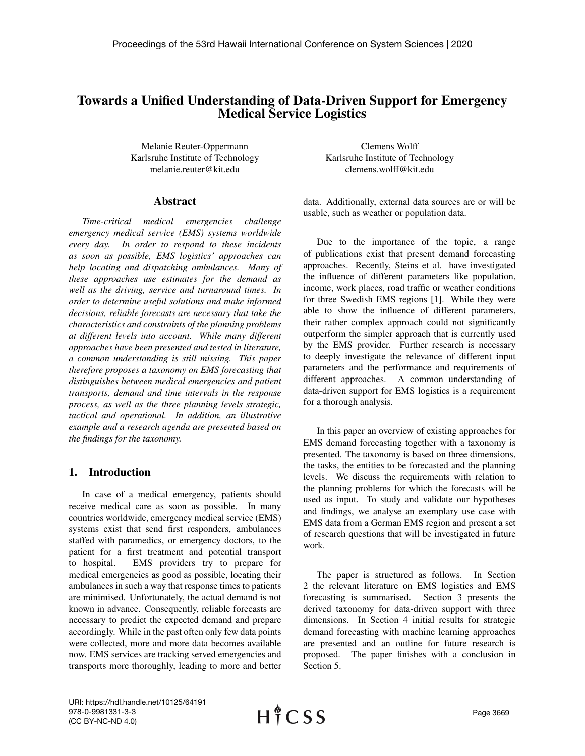# Towards a Unified Understanding of Data-Driven Support for Emergency Medical Service Logistics

Melanie Reuter-Oppermann Karlsruhe Institute of Technology melanie.reuter@kit.edu

### Abstract

*Time-critical medical emergencies challenge emergency medical service (EMS) systems worldwide every day. In order to respond to these incidents as soon as possible, EMS logistics' approaches can help locating and dispatching ambulances. Many of these approaches use estimates for the demand as well as the driving, service and turnaround times. In order to determine useful solutions and make informed decisions, reliable forecasts are necessary that take the characteristics and constraints of the planning problems at different levels into account. While many different approaches have been presented and tested in literature, a common understanding is still missing. This paper therefore proposes a taxonomy on EMS forecasting that distinguishes between medical emergencies and patient transports, demand and time intervals in the response process, as well as the three planning levels strategic, tactical and operational. In addition, an illustrative example and a research agenda are presented based on the findings for the taxonomy.*

## 1. Introduction

In case of a medical emergency, patients should receive medical care as soon as possible. In many countries worldwide, emergency medical service (EMS) systems exist that send first responders, ambulances staffed with paramedics, or emergency doctors, to the patient for a first treatment and potential transport to hospital. EMS providers try to prepare for medical emergencies as good as possible, locating their ambulances in such a way that response times to patients are minimised. Unfortunately, the actual demand is not known in advance. Consequently, reliable forecasts are necessary to predict the expected demand and prepare accordingly. While in the past often only few data points were collected, more and more data becomes available now. EMS services are tracking served emergencies and transports more thoroughly, leading to more and better

Clemens Wolff Karlsruhe Institute of Technology clemens.wolff@kit.edu

data. Additionally, external data sources are or will be usable, such as weather or population data.

Due to the importance of the topic, a range of publications exist that present demand forecasting approaches. Recently, Steins et al. have investigated the influence of different parameters like population, income, work places, road traffic or weather conditions for three Swedish EMS regions [1]. While they were able to show the influence of different parameters, their rather complex approach could not significantly outperform the simpler approach that is currently used by the EMS provider. Further research is necessary to deeply investigate the relevance of different input parameters and the performance and requirements of different approaches. A common understanding of data-driven support for EMS logistics is a requirement for a thorough analysis.

In this paper an overview of existing approaches for EMS demand forecasting together with a taxonomy is presented. The taxonomy is based on three dimensions, the tasks, the entities to be forecasted and the planning levels. We discuss the requirements with relation to the planning problems for which the forecasts will be used as input. To study and validate our hypotheses and findings, we analyse an exemplary use case with EMS data from a German EMS region and present a set of research questions that will be investigated in future work.

The paper is structured as follows. In Section 2 the relevant literature on EMS logistics and EMS forecasting is summarised. Section 3 presents the derived taxonomy for data-driven support with three dimensions. In Section 4 initial results for strategic demand forecasting with machine learning approaches are presented and an outline for future research is proposed. The paper finishes with a conclusion in Section 5.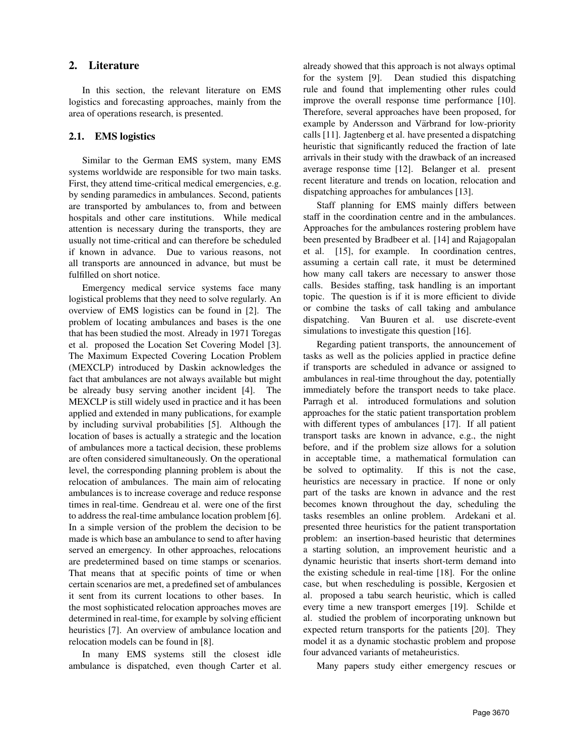### 2. Literature

In this section, the relevant literature on EMS logistics and forecasting approaches, mainly from the area of operations research, is presented.

### 2.1. EMS logistics

Similar to the German EMS system, many EMS systems worldwide are responsible for two main tasks. First, they attend time-critical medical emergencies, e.g. by sending paramedics in ambulances. Second, patients are transported by ambulances to, from and between hospitals and other care institutions. While medical attention is necessary during the transports, they are usually not time-critical and can therefore be scheduled if known in advance. Due to various reasons, not all transports are announced in advance, but must be fulfilled on short notice.

Emergency medical service systems face many logistical problems that they need to solve regularly. An overview of EMS logistics can be found in [2]. The problem of locating ambulances and bases is the one that has been studied the most. Already in 1971 Toregas et al. proposed the Location Set Covering Model [3]. The Maximum Expected Covering Location Problem (MEXCLP) introduced by Daskin acknowledges the fact that ambulances are not always available but might be already busy serving another incident [4]. The MEXCLP is still widely used in practice and it has been applied and extended in many publications, for example by including survival probabilities [5]. Although the location of bases is actually a strategic and the location of ambulances more a tactical decision, these problems are often considered simultaneously. On the operational level, the corresponding planning problem is about the relocation of ambulances. The main aim of relocating ambulances is to increase coverage and reduce response times in real-time. Gendreau et al. were one of the first to address the real-time ambulance location problem [6]. In a simple version of the problem the decision to be made is which base an ambulance to send to after having served an emergency. In other approaches, relocations are predetermined based on time stamps or scenarios. That means that at specific points of time or when certain scenarios are met, a predefined set of ambulances it sent from its current locations to other bases. In the most sophisticated relocation approaches moves are determined in real-time, for example by solving efficient heuristics [7]. An overview of ambulance location and relocation models can be found in [8].

In many EMS systems still the closest idle ambulance is dispatched, even though Carter et al.

already showed that this approach is not always optimal for the system [9]. Dean studied this dispatching rule and found that implementing other rules could improve the overall response time performance [10]. Therefore, several approaches have been proposed, for example by Andersson and Värbrand for low-priority calls [11]. Jagtenberg et al. have presented a dispatching heuristic that significantly reduced the fraction of late arrivals in their study with the drawback of an increased average response time [12]. Belanger et al. present recent literature and trends on location, relocation and dispatching approaches for ambulances [13].

Staff planning for EMS mainly differs between staff in the coordination centre and in the ambulances. Approaches for the ambulances rostering problem have been presented by Bradbeer et al. [14] and Rajagopalan et al. [15], for example. In coordination centres, assuming a certain call rate, it must be determined how many call takers are necessary to answer those calls. Besides staffing, task handling is an important topic. The question is if it is more efficient to divide or combine the tasks of call taking and ambulance dispatching. Van Buuren et al. use discrete-event simulations to investigate this question [16].

Regarding patient transports, the announcement of tasks as well as the policies applied in practice define if transports are scheduled in advance or assigned to ambulances in real-time throughout the day, potentially immediately before the transport needs to take place. Parragh et al. introduced formulations and solution approaches for the static patient transportation problem with different types of ambulances [17]. If all patient transport tasks are known in advance, e.g., the night before, and if the problem size allows for a solution in acceptable time, a mathematical formulation can be solved to optimality. If this is not the case, heuristics are necessary in practice. If none or only part of the tasks are known in advance and the rest becomes known throughout the day, scheduling the tasks resembles an online problem. Ardekani et al. presented three heuristics for the patient transportation problem: an insertion-based heuristic that determines a starting solution, an improvement heuristic and a dynamic heuristic that inserts short-term demand into the existing schedule in real-time [18]. For the online case, but when rescheduling is possible, Kergosien et al. proposed a tabu search heuristic, which is called every time a new transport emerges [19]. Schilde et al. studied the problem of incorporating unknown but expected return transports for the patients [20]. They model it as a dynamic stochastic problem and propose four advanced variants of metaheuristics.

Many papers study either emergency rescues or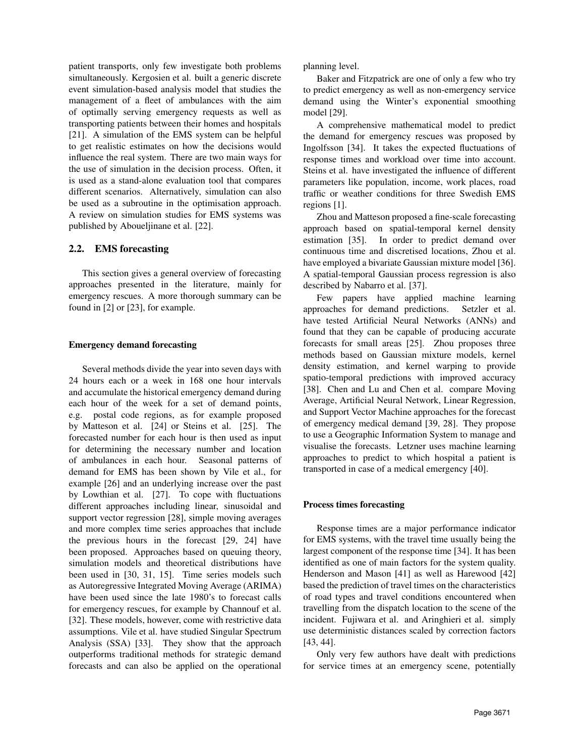patient transports, only few investigate both problems simultaneously. Kergosien et al. built a generic discrete event simulation-based analysis model that studies the management of a fleet of ambulances with the aim of optimally serving emergency requests as well as transporting patients between their homes and hospitals [21]. A simulation of the EMS system can be helpful to get realistic estimates on how the decisions would influence the real system. There are two main ways for the use of simulation in the decision process. Often, it is used as a stand-alone evaluation tool that compares different scenarios. Alternatively, simulation can also be used as a subroutine in the optimisation approach. A review on simulation studies for EMS systems was published by Aboueljinane et al. [22].

### 2.2. EMS forecasting

This section gives a general overview of forecasting approaches presented in the literature, mainly for emergency rescues. A more thorough summary can be found in [2] or [23], for example.

#### Emergency demand forecasting

Several methods divide the year into seven days with 24 hours each or a week in 168 one hour intervals and accumulate the historical emergency demand during each hour of the week for a set of demand points, e.g. postal code regions, as for example proposed by Matteson et al. [24] or Steins et al. [25]. The forecasted number for each hour is then used as input for determining the necessary number and location of ambulances in each hour. Seasonal patterns of demand for EMS has been shown by Vile et al., for example [26] and an underlying increase over the past by Lowthian et al. [27]. To cope with fluctuations different approaches including linear, sinusoidal and support vector regression [28], simple moving averages and more complex time series approaches that include the previous hours in the forecast [29, 24] have been proposed. Approaches based on queuing theory, simulation models and theoretical distributions have been used in [30, 31, 15]. Time series models such as Autoregressive Integrated Moving Average (ARIMA) have been used since the late 1980's to forecast calls for emergency rescues, for example by Channouf et al. [32]. These models, however, come with restrictive data assumptions. Vile et al. have studied Singular Spectrum Analysis (SSA) [33]. They show that the approach outperforms traditional methods for strategic demand forecasts and can also be applied on the operational planning level.

Baker and Fitzpatrick are one of only a few who try to predict emergency as well as non-emergency service demand using the Winter's exponential smoothing model [29].

A comprehensive mathematical model to predict the demand for emergency rescues was proposed by Ingolfsson [34]. It takes the expected fluctuations of response times and workload over time into account. Steins et al. have investigated the influence of different parameters like population, income, work places, road traffic or weather conditions for three Swedish EMS regions [1].

Zhou and Matteson proposed a fine-scale forecasting approach based on spatial-temporal kernel density estimation [35]. In order to predict demand over continuous time and discretised locations, Zhou et al. have employed a bivariate Gaussian mixture model [36]. A spatial-temporal Gaussian process regression is also described by Nabarro et al. [37].

Few papers have applied machine learning approaches for demand predictions. Setzler et al. have tested Artificial Neural Networks (ANNs) and found that they can be capable of producing accurate forecasts for small areas [25]. Zhou proposes three methods based on Gaussian mixture models, kernel density estimation, and kernel warping to provide spatio-temporal predictions with improved accuracy [38]. Chen and Lu and Chen et al. compare Moving Average, Artificial Neural Network, Linear Regression, and Support Vector Machine approaches for the forecast of emergency medical demand [39, 28]. They propose to use a Geographic Information System to manage and visualise the forecasts. Letzner uses machine learning approaches to predict to which hospital a patient is transported in case of a medical emergency [40].

#### Process times forecasting

Response times are a major performance indicator for EMS systems, with the travel time usually being the largest component of the response time [34]. It has been identified as one of main factors for the system quality. Henderson and Mason [41] as well as Harewood [42] based the prediction of travel times on the characteristics of road types and travel conditions encountered when travelling from the dispatch location to the scene of the incident. Fujiwara et al. and Aringhieri et al. simply use deterministic distances scaled by correction factors [43, 44].

Only very few authors have dealt with predictions for service times at an emergency scene, potentially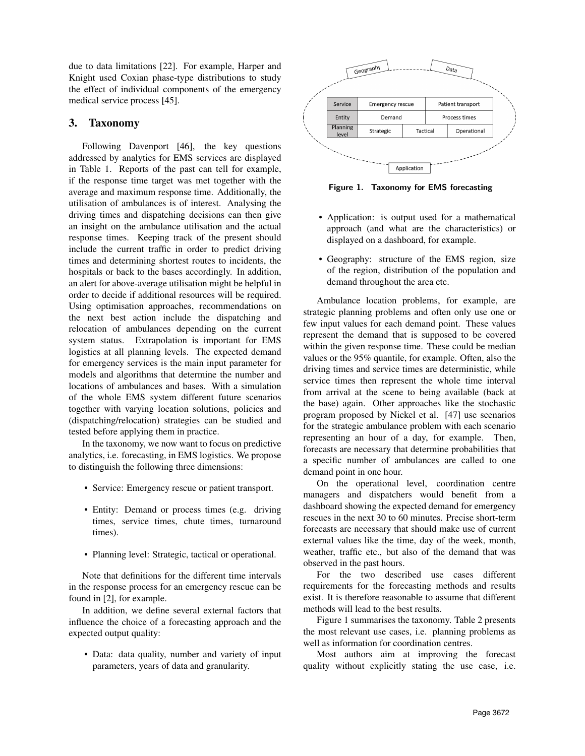due to data limitations [22]. For example, Harper and Knight used Coxian phase-type distributions to study the effect of individual components of the emergency medical service process [45].

# 3. Taxonomy

Following Davenport [46], the key questions addressed by analytics for EMS services are displayed in Table 1. Reports of the past can tell for example, if the response time target was met together with the average and maximum response time. Additionally, the utilisation of ambulances is of interest. Analysing the driving times and dispatching decisions can then give an insight on the ambulance utilisation and the actual response times. Keeping track of the present should include the current traffic in order to predict driving times and determining shortest routes to incidents, the hospitals or back to the bases accordingly. In addition, an alert for above-average utilisation might be helpful in order to decide if additional resources will be required. Using optimisation approaches, recommendations on the next best action include the dispatching and relocation of ambulances depending on the current system status. Extrapolation is important for EMS logistics at all planning levels. The expected demand for emergency services is the main input parameter for models and algorithms that determine the number and locations of ambulances and bases. With a simulation of the whole EMS system different future scenarios together with varying location solutions, policies and (dispatching/relocation) strategies can be studied and tested before applying them in practice.

In the taxonomy, we now want to focus on predictive analytics, i.e. forecasting, in EMS logistics. We propose to distinguish the following three dimensions:

- Service: Emergency rescue or patient transport.
- Entity: Demand or process times (e.g. driving times, service times, chute times, turnaround times).
- Planning level: Strategic, tactical or operational.

Note that definitions for the different time intervals in the response process for an emergency rescue can be found in [2], for example.

In addition, we define several external factors that influence the choice of a forecasting approach and the expected output quality:

• Data: data quality, number and variety of input parameters, years of data and granularity.



Figure 1. Taxonomy for EMS forecasting

- Application: is output used for a mathematical approach (and what are the characteristics) or displayed on a dashboard, for example.
- Geography: structure of the EMS region, size of the region, distribution of the population and demand throughout the area etc.

Ambulance location problems, for example, are strategic planning problems and often only use one or few input values for each demand point. These values represent the demand that is supposed to be covered within the given response time. These could be median values or the 95% quantile, for example. Often, also the driving times and service times are deterministic, while service times then represent the whole time interval from arrival at the scene to being available (back at the base) again. Other approaches like the stochastic program proposed by Nickel et al. [47] use scenarios for the strategic ambulance problem with each scenario representing an hour of a day, for example. Then, forecasts are necessary that determine probabilities that a specific number of ambulances are called to one demand point in one hour.

On the operational level, coordination centre managers and dispatchers would benefit from a dashboard showing the expected demand for emergency rescues in the next 30 to 60 minutes. Precise short-term forecasts are necessary that should make use of current external values like the time, day of the week, month, weather, traffic etc., but also of the demand that was observed in the past hours.

For the two described use cases different requirements for the forecasting methods and results exist. It is therefore reasonable to assume that different methods will lead to the best results.

Figure 1 summarises the taxonomy. Table 2 presents the most relevant use cases, i.e. planning problems as well as information for coordination centres.

Most authors aim at improving the forecast quality without explicitly stating the use case, i.e.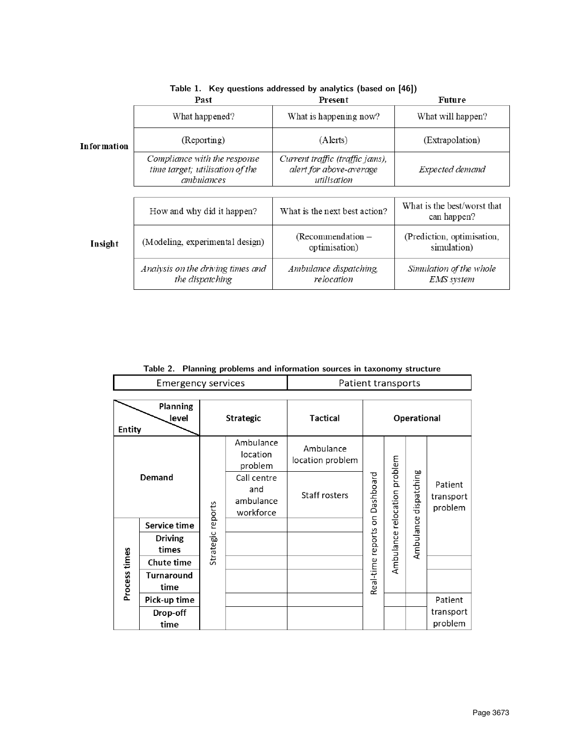|                    | Past                                                                                 | Present                                                                   | Future                                       |  |
|--------------------|--------------------------------------------------------------------------------------|---------------------------------------------------------------------------|----------------------------------------------|--|
| <b>Information</b> | What happened?                                                                       | What is happening now?                                                    | What will happen?                            |  |
|                    | (Reporting)                                                                          | (Alerts)                                                                  | (Extrapolation)                              |  |
|                    | Compliance with the response<br>time target; utilisation of the<br><i>ambulances</i> | Current traffic (traffic jams),<br>alert for above-average<br>utilisation | Expected demand                              |  |
|                    |                                                                                      |                                                                           |                                              |  |
|                    | How and why did it happen?                                                           | What is the next best action?                                             | What is the best/worst that<br>can happen?   |  |
| Insight            | (Modeling, experimental design)                                                      | $(Recommendation -$<br>optimisation)                                      | (Prediction, optimisation,<br>simulation)    |  |
|                    | Analysis on the driving times and<br>the dispatching                                 | Ambulance dispatching,<br>relocation                                      | Simulation of the whole<br><b>EMS</b> system |  |

|  |  |  |  | Table 1. Key questions addressed by analytics (based on [46]) |
|--|--|--|--|---------------------------------------------------------------|
|--|--|--|--|---------------------------------------------------------------|

|  |  |  | Table 2. Planning problems and information sources in taxonomy structure |
|--|--|--|--------------------------------------------------------------------------|
|--|--|--|--------------------------------------------------------------------------|

Τ

 $\mathsf{r}$ 

| <b>Emergency services</b>                 |                           | Patient transports |                                              |                               |                                |           |                                   |                                 |
|-------------------------------------------|---------------------------|--------------------|----------------------------------------------|-------------------------------|--------------------------------|-----------|-----------------------------------|---------------------------------|
| <b>Planning</b><br>level<br><b>Entity</b> |                           | <b>Strategic</b>   |                                              | Tactical                      | <b>Operational</b>             |           |                                   |                                 |
| <b>Demand</b>                             |                           |                    | Ambulance<br>location<br>problem             | Ambulance<br>location problem | Real-time reports on Dashboard |           | relocation problem<br>dispatching |                                 |
|                                           |                           |                    | Call centre<br>and<br>ambulance<br>workforce | Staff rosters                 |                                |           |                                   | Patient<br>transport<br>problem |
|                                           | Service time              |                    |                                              |                               |                                |           |                                   |                                 |
|                                           | <b>Driving</b><br>times   | Strategic reports  |                                              |                               |                                | Ambulance | Ambulance                         |                                 |
| Process times                             | <b>Chute time</b>         |                    |                                              |                               |                                |           |                                   |                                 |
|                                           | <b>Turnaround</b><br>time |                    |                                              |                               |                                |           |                                   |                                 |
|                                           | Pick-up time              |                    |                                              |                               |                                |           |                                   | Patient                         |
|                                           | Drop-off<br>time          |                    |                                              |                               |                                |           |                                   | transport<br>problem            |

٦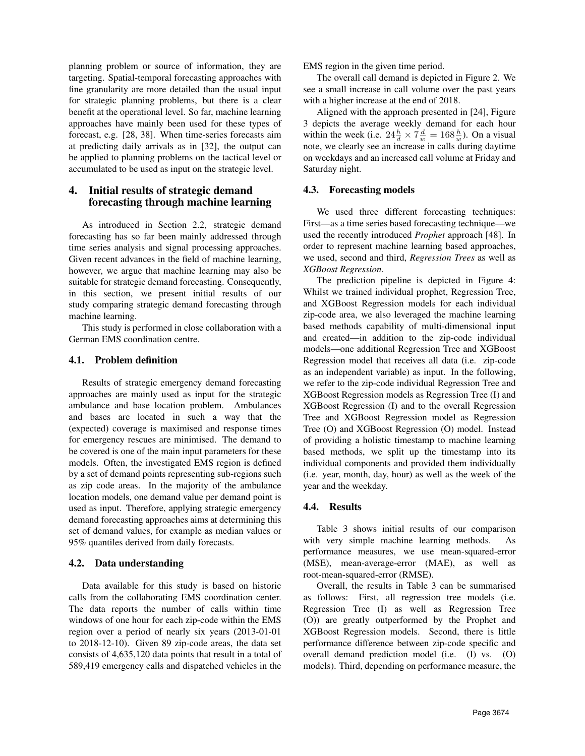planning problem or source of information, they are targeting. Spatial-temporal forecasting approaches with fine granularity are more detailed than the usual input for strategic planning problems, but there is a clear benefit at the operational level. So far, machine learning approaches have mainly been used for these types of forecast, e.g. [28, 38]. When time-series forecasts aim at predicting daily arrivals as in [32], the output can be applied to planning problems on the tactical level or accumulated to be used as input on the strategic level.

## 4. Initial results of strategic demand forecasting through machine learning

As introduced in Section 2.2, strategic demand forecasting has so far been mainly addressed through time series analysis and signal processing approaches. Given recent advances in the field of machine learning, however, we argue that machine learning may also be suitable for strategic demand forecasting. Consequently, in this section, we present initial results of our study comparing strategic demand forecasting through machine learning.

This study is performed in close collaboration with a German EMS coordination centre.

### 4.1. Problem definition

Results of strategic emergency demand forecasting approaches are mainly used as input for the strategic ambulance and base location problem. Ambulances and bases are located in such a way that the (expected) coverage is maximised and response times for emergency rescues are minimised. The demand to be covered is one of the main input parameters for these models. Often, the investigated EMS region is defined by a set of demand points representing sub-regions such as zip code areas. In the majority of the ambulance location models, one demand value per demand point is used as input. Therefore, applying strategic emergency demand forecasting approaches aims at determining this set of demand values, for example as median values or 95% quantiles derived from daily forecasts.

### 4.2. Data understanding

Data available for this study is based on historic calls from the collaborating EMS coordination center. The data reports the number of calls within time windows of one hour for each zip-code within the EMS region over a period of nearly six years (2013-01-01 to 2018-12-10). Given 89 zip-code areas, the data set consists of 4,635,120 data points that result in a total of 589,419 emergency calls and dispatched vehicles in the EMS region in the given time period.

The overall call demand is depicted in Figure 2. We see a small increase in call volume over the past years with a higher increase at the end of 2018.

Aligned with the approach presented in [24], Figure 3 depicts the average weekly demand for each hour within the week (i.e.  $24\frac{h}{d} \times 7\frac{d}{w} = 168\frac{h}{w}$ ). On a visual note, we clearly see an increase in calls during daytime on weekdays and an increased call volume at Friday and Saturday night.

### 4.3. Forecasting models

We used three different forecasting techniques: First—as a time series based forecasting technique—we used the recently introduced *Prophet* approach [48]. In order to represent machine learning based approaches, we used, second and third, *Regression Trees* as well as *XGBoost Regression*.

The prediction pipeline is depicted in Figure 4: Whilst we trained individual prophet, Regression Tree, and XGBoost Regression models for each individual zip-code area, we also leveraged the machine learning based methods capability of multi-dimensional input and created—in addition to the zip-code individual models—one additional Regression Tree and XGBoost Regression model that receives all data (i.e. zip-code as an independent variable) as input. In the following, we refer to the zip-code individual Regression Tree and XGBoost Regression models as Regression Tree (I) and XGBoost Regression (I) and to the overall Regression Tree and XGBoost Regression model as Regression Tree (O) and XGBoost Regression (O) model. Instead of providing a holistic timestamp to machine learning based methods, we split up the timestamp into its individual components and provided them individually (i.e. year, month, day, hour) as well as the week of the year and the weekday.

### 4.4. Results

Table 3 shows initial results of our comparison with very simple machine learning methods. As performance measures, we use mean-squared-error (MSE), mean-average-error (MAE), as well as root-mean-squared-error (RMSE).

Overall, the results in Table 3 can be summarised as follows: First, all regression tree models (i.e. Regression Tree (I) as well as Regression Tree (O)) are greatly outperformed by the Prophet and XGBoost Regression models. Second, there is little performance difference between zip-code specific and overall demand prediction model (i.e. (I) vs. (O) models). Third, depending on performance measure, the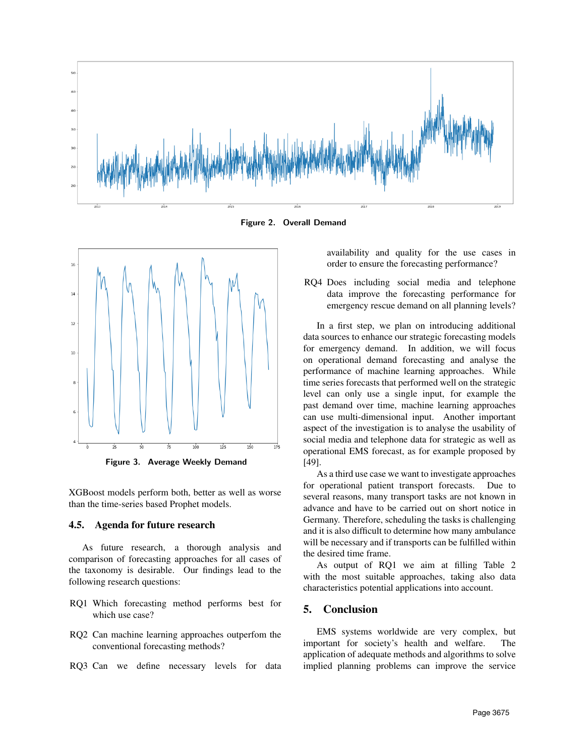

Figure 2. Overall Demand



Figure 3. Average Weekly Demand

XGBoost models perform both, better as well as worse than the time-series based Prophet models.

### 4.5. Agenda for future research

As future research, a thorough analysis and comparison of forecasting approaches for all cases of the taxonomy is desirable. Our findings lead to the following research questions:

- RQ1 Which forecasting method performs best for which use case?
- RQ2 Can machine learning approaches outperfom the conventional forecasting methods?
- RQ3 Can we define necessary levels for data

availability and quality for the use cases in order to ensure the forecasting performance?

RQ4 Does including social media and telephone data improve the forecasting performance for emergency rescue demand on all planning levels?

In a first step, we plan on introducing additional data sources to enhance our strategic forecasting models for emergency demand. In addition, we will focus on operational demand forecasting and analyse the performance of machine learning approaches. While time series forecasts that performed well on the strategic level can only use a single input, for example the past demand over time, machine learning approaches can use multi-dimensional input. Another important aspect of the investigation is to analyse the usability of social media and telephone data for strategic as well as operational EMS forecast, as for example proposed by [49].

As a third use case we want to investigate approaches for operational patient transport forecasts. Due to several reasons, many transport tasks are not known in advance and have to be carried out on short notice in Germany. Therefore, scheduling the tasks is challenging and it is also difficult to determine how many ambulance will be necessary and if transports can be fulfilled within the desired time frame.

As output of RQ1 we aim at filling Table 2 with the most suitable approaches, taking also data characteristics potential applications into account.

# 5. Conclusion

EMS systems worldwide are very complex, but important for society's health and welfare. The application of adequate methods and algorithms to solve implied planning problems can improve the service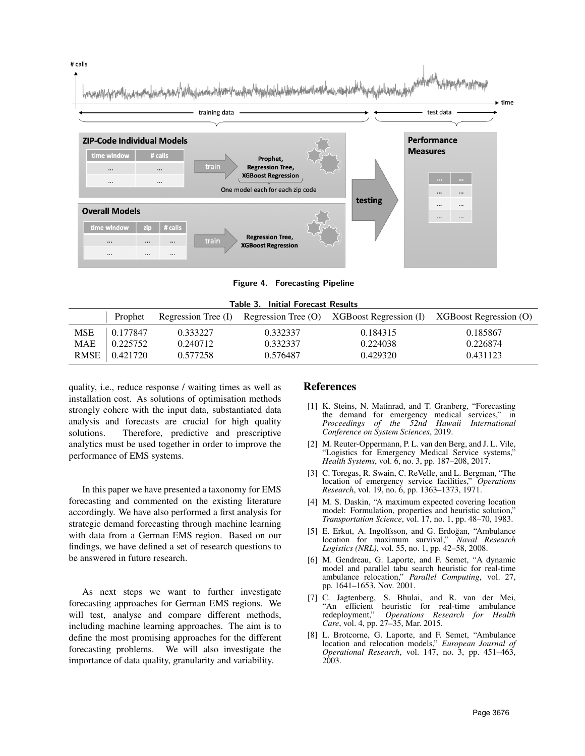

Figure 4. Forecasting Pipeline

| <b>Table 3. Initial Forecast Results</b> |          |          |          |          |                                                                                       |
|------------------------------------------|----------|----------|----------|----------|---------------------------------------------------------------------------------------|
|                                          | Prophet  |          |          |          | Regression Tree (I) Regression Tree (O) XGBoost Regression (I) XGBoost Regression (O) |
| <b>MSE</b>                               | 0.177847 | 0.333227 | 0.332337 | 0.184315 | 0.185867                                                                              |
| MAE                                      | 0.225752 | 0.240712 | 0.332337 | 0.224038 | 0.226874                                                                              |
| <b>RMSE</b>                              | 0.421720 | 0.577258 | 0.576487 | 0.429320 | 0.431123                                                                              |

quality, i.e., reduce response / waiting times as well as installation cost. As solutions of optimisation methods strongly cohere with the input data, substantiated data analysis and forecasts are crucial for high quality solutions. Therefore, predictive and prescriptive analytics must be used together in order to improve the performance of EMS systems.

In this paper we have presented a taxonomy for EMS forecasting and commented on the existing literature accordingly. We have also performed a first analysis for strategic demand forecasting through machine learning with data from a German EMS region. Based on our findings, we have defined a set of research questions to be answered in future research.

As next steps we want to further investigate forecasting approaches for German EMS regions. We will test, analyse and compare different methods, including machine learning approaches. The aim is to define the most promising approaches for the different forecasting problems. We will also investigate the importance of data quality, granularity and variability.

### References

- [1] K. Steins, N. Matinrad, and T. Granberg, "Forecasting the demand for emergency medical services," in *Proceedings of the 52nd Hawaii International Conference on System Sciences*, 2019.
- [2] M. Reuter-Oppermann, P. L. van den Berg, and J. L. Vile, "Logistics for Emergency Medical Service systems," *Health Systems*, vol. 6, no. 3, pp. 187–208, 2017.
- [3] C. Toregas, R. Swain, C. ReVelle, and L. Bergman, "The location of emergency service facilities," *Operations Research*, vol. 19, no. 6, pp. 1363–1373, 1971.
- [4] M. S. Daskin, "A maximum expected covering location model: Formulation, properties and heuristic solution," *Transportation Science*, vol. 17, no. 1, pp. 48–70, 1983.
- [5] E. Erkut, A. Ingolfsson, and G. Erdoğan, "Ambulance location for maximum survival," *Naval Research Logistics (NRL)*, vol. 55, no. 1, pp. 42–58, 2008.
- [6] M. Gendreau, G. Laporte, and F. Semet, "A dynamic model and parallel tabu search heuristic for real-time ambulance relocation," *Parallel Computing*, vol. 27, pp. 1641–1653, Nov. 2001.
- [7] C. Jagtenberg, S. Bhulai, and R. van der Mei, "An efficient heuristic for real-time ambulance redeployment," *Operations Research for Health* **Operations Research for Health** *Care*, vol. 4, pp. 27–35, Mar. 2015.
- [8] L. Brotcorne, G. Laporte, and F. Semet, "Ambulance location and relocation models," *European Journal of Operational Research*, vol. 147, no. 3, pp. 451–463, 2003.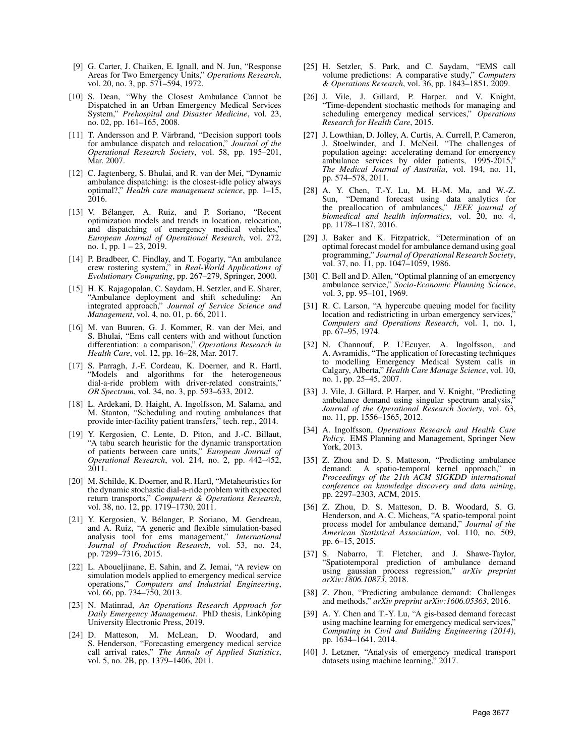- [9] G. Carter, J. Chaiken, E. Ignall, and N. Jun, "Response Areas for Two Emergency Units," *Operations Research*, vol. 20, no. 3, pp. 571–594, 1972.
- [10] S. Dean, "Why the Closest Ambulance Cannot be Dispatched in an Urban Emergency Medical Services System," *Prehospital and Disaster Medicine*, vol. 23, no. 02, pp. 161–165, 2008.
- [11] T. Andersson and P. Värbrand, "Decision support tools for ambulance dispatch and relocation," *Journal of the Operational Research Society*, vol. 58, pp. 195–201, Mar. 2007.
- [12] C. Jagtenberg, S. Bhulai, and R. van der Mei, "Dynamic ambulance dispatching: is the closest-idle policy always optimal?," *Health care management science*, pp. 1–15, 2016.
- [13] V. Bélanger, A. Ruiz, and P. Soriano, "Recent optimization models and trends in location, relocation, and dispatching of emergency medical vehicles,' *European Journal of Operational Research*, vol. 272, no. 1, pp. 1 – 23, 2019.
- [14] P. Bradbeer, C. Findlay, and T. Fogarty, "An ambulance crew rostering system," in *Real-World Applications of Evolutionary Computing*, pp. 267–279, Springer, 2000.
- [15] H. K. Rajagopalan, C. Saydam, H. Setzler, and E. Sharer, "Ambulance deployment and shift scheduling: An integrated approach," *Journal of Service Science and Management*, vol. 4, no. 01, p. 66, 2011.
- [16] M. van Buuren, G. J. Kommer, R. van der Mei, and S. Bhulai, "Ems call centers with and without function differentiation: a comparison," *Operations Research in Health Care*, vol. 12, pp. 16–28, Mar. 2017.
- [17] S. Parragh, J.-F. Cordeau, K. Doerner, and R. Hartl, "Models and algorithms for the heterogeneous dial-a-ride problem with driver-related constraints," *OR Spectrum*, vol. 34, no. 3, pp. 593–633, 2012.
- [18] L. Ardekani, D. Haight, A. Ingolfsson, M. Salama, and M. Stanton, "Scheduling and routing ambulances that provide inter-facility patient transfers," tech. rep., 2014.
- [19] Y. Kergosien, C. Lente, D. Piton, and J.-C. Billaut, "A tabu search heuristic for the dynamic transportation of patients between care units," *European Journal of Operational Research*, vol. 214, no. 2, pp. 442–452, 2011.
- [20] M. Schilde, K. Doerner, and R. Hartl, "Metaheuristics for the dynamic stochastic dial-a-ride problem with expected return transports," *Computers & Operations Research*, vol. 38, no. 12, pp. 1719–1730, 2011.
- [21] Y. Kergosien, V. Bélanger, P. Soriano, M. Gendreau, and A. Ruiz, "A generic and flexible simulation-based analysis tool for ems management," *International Journal of Production Research*, vol. 53, no. 24, pp. 7299–7316, 2015.
- [22] L. Aboueljinane, E. Sahin, and Z. Jemai, "A review on simulation models applied to emergency medical service operations," *Computers and Industrial Engineering*, vol. 66, pp. 734–750, 2013.
- [23] N. Matinrad, *An Operations Research Approach for Daily Emergency Management.* PhD thesis, Linköping University Electronic Press, 2019.
- [24] D. Matteson, M. McLean, D. Woodard, and S. Henderson, "Forecasting emergency medical service call arrival rates," *The Annals of Applied Statistics*, vol. 5, no. 2B, pp. 1379–1406, 2011.
- [25] H. Setzler, S. Park, and C. Saydam, "EMS call volume predictions: A comparative study," *Computers & Operations Research*, vol. 36, pp. 1843–1851, 2009.
- [26] J. Vile, J. Gillard, P. Harper, and V. Knight, "Time-dependent stochastic methods for managing and scheduling emergency medical services," *Operations Research for Health Care*, 2015.
- [27] J. Lowthian, D. Jolley, A. Curtis, A. Currell, P. Cameron, J. Stoelwinder, and J. McNeil, "The challenges of population ageing: accelerating demand for emergency ambulance services by older patients, 1995-2015, *The Medical Journal of Australia*, vol. 194, no. 11, pp. 574–578, 2011.
- [28] A. Y. Chen, T.-Y. Lu, M. H.-M. Ma, and W.-Z. Sun, "Demand forecast using data analytics for the preallocation of ambulances," *IEEE journal of biomedical and health informatics*, vol. 20, no. 4, pp. 1178–1187, 2016.
- [29] J. Baker and K. Fitzpatrick, "Determination of an optimal forecast model for ambulance demand using goal programming," *Journal of Operational Research Society*, vol. 37, no. 11, pp. 1047–1059, 1986.
- [30] C. Bell and D. Allen, "Optimal planning of an emergency ambulance service," *Socio-Economic Planning Science*, vol. 3, pp. 95–101, 1969.
- [31] R. C. Larson, "A hypercube queuing model for facility location and redistricting in urban emergency services, *Computers and Operations Research*, vol. 1, no. 1, pp. 67–95, 1974.
- [32] N. Channouf, P. L'Ecuyer, A. Ingolfsson, and A. Avramidis, "The application of forecasting techniques to modelling Emergency Medical System calls in Calgary, Alberta," *Health Care Manage Science*, vol. 10, no. 1, pp. 25–45, 2007.
- [33] J. Vile, J. Gillard, P. Harper, and V. Knight, "Predicting ambulance demand using singular spectrum analysis, *Journal of the Operational Research Society*, vol. 63, no. 11, pp. 1556–1565, 2012.
- [34] A. Ingolfsson, *Operations Research and Health Care Policy*. EMS Planning and Management, Springer New York, 2013.
- [35] Z. Zhou and D. S. Matteson, "Predicting ambulance demand: A spatio-temporal kernel approach," in *Proceedings of the 21th ACM SIGKDD international conference on knowledge discovery and data mining*, pp. 2297–2303, ACM, 2015.
- [36] Z. Zhou, D. S. Matteson, D. B. Woodard, S. G. Henderson, and A. C. Micheas, "A spatio-temporal point process model for ambulance demand," *Journal of the American Statistical Association*, vol. 110, no. 509, pp. 6–15, 2015.
- [37] S. Nabarro, T. Fletcher, and J. Shawe-Taylor, "Spatiotemporal prediction of ambulance demand using gaussian process regression," *arXiv preprint arXiv:1806.10873*, 2018.
- [38] Z. Zhou, "Predicting ambulance demand: Challenges and methods," *arXiv preprint arXiv:1606.05363*, 2016.
- [39] A. Y. Chen and T.-Y. Lu, "A gis-based demand forecast using machine learning for emergency medical services," *Computing in Civil and Building Engineering (2014)*, pp. 1634–1641, 2014.
- [40] J. Letzner, "Analysis of emergency medical transport datasets using machine learning," 2017.